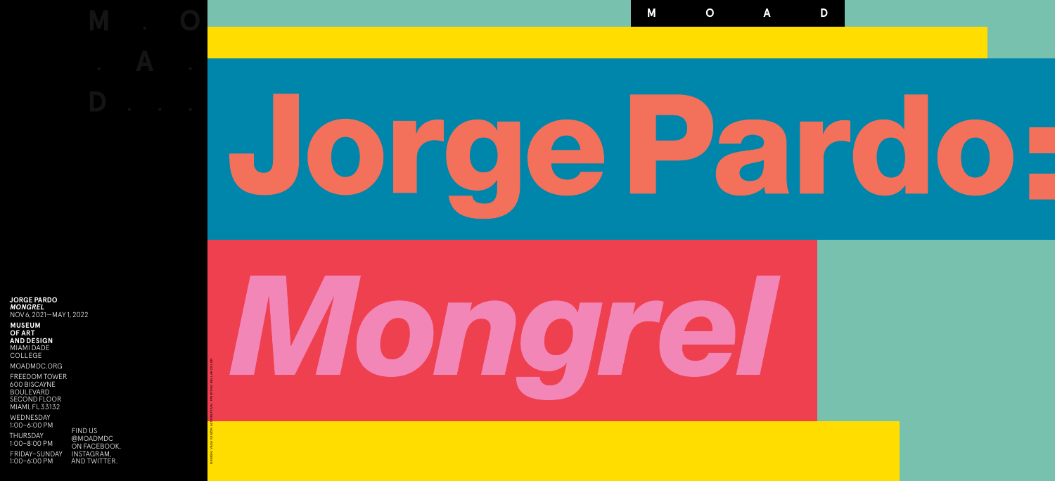FIND US @[MOADMDC](https://moadmdc.org/)  ON [FACEBOOK,](https://www.facebook.com/MOADMDC/) [INSTAGRAM,](https://www.instagram.com/moadmdc/) AND [TWITTER](https://twitter.com/moadmdc/).





**JORGE PARDO** *MONGREL* NOV 6, 2021— MAY 1, 2022

**MUSEUM OF ART AND DESIGN**  MIAMI DADE COLLEGE

MOADMDC.ORG

FREEDOM TOWER 600 BISCAYNE BOULEVARD SECOND FLOOR MIAMI, FL 33132

WEDNESDAY 1:00–6:00 PM

THURSDAY 1:00–8:00 PM

FRIDAY–SUNDAY 1:00–6:00 PM

DESIGN: VACA (VISIÓN ALTERNATIVA) PRINTING: BELLAK COLOR